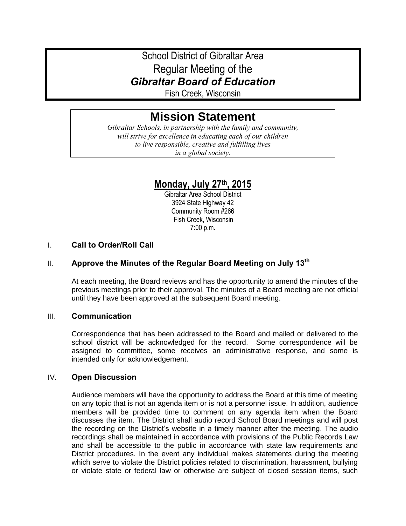# School District of Gibraltar Area Regular Meeting of the *Gibraltar Board of Education*

Fish Creek, Wisconsin

# **Mission Statement**

*Gibraltar Schools, in partnership with the family and community, will strive for excellence in educating each of our children to live responsible, creative and fulfilling lives in a global society.*

# **Monday, July 27th, 2015**

Gibraltar Area School District 3924 State Highway 42 Community Room #266 Fish Creek, Wisconsin 7:00 p.m.

## I. **Call to Order/Roll Call**

# II. **Approve the Minutes of the Regular Board Meeting on July 13th**

At each meeting, the Board reviews and has the opportunity to amend the minutes of the previous meetings prior to their approval. The minutes of a Board meeting are not official until they have been approved at the subsequent Board meeting.

#### III. **Communication**

Correspondence that has been addressed to the Board and mailed or delivered to the school district will be acknowledged for the record. Some correspondence will be assigned to committee, some receives an administrative response, and some is intended only for acknowledgement.

#### IV. **Open Discussion**

Audience members will have the opportunity to address the Board at this time of meeting on any topic that is not an agenda item or is not a personnel issue. In addition, audience members will be provided time to comment on any agenda item when the Board discusses the item. The District shall audio record School Board meetings and will post the recording on the District's website in a timely manner after the meeting. The audio recordings shall be maintained in accordance with provisions of the Public Records Law and shall be accessible to the public in accordance with state law requirements and District procedures. In the event any individual makes statements during the meeting which serve to violate the District policies related to discrimination, harassment, bullying or violate state or federal law or otherwise are subject of closed session items, such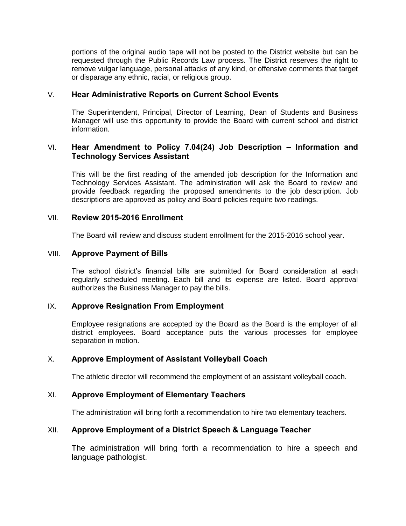portions of the original audio tape will not be posted to the District website but can be requested through the Public Records Law process. The District reserves the right to remove vulgar language, personal attacks of any kind, or offensive comments that target or disparage any ethnic, racial, or religious group.

#### V. **Hear Administrative Reports on Current School Events**

The Superintendent, Principal, Director of Learning, Dean of Students and Business Manager will use this opportunity to provide the Board with current school and district information.

#### VI. **Hear Amendment to Policy 7.04(24) Job Description – Information and Technology Services Assistant**

This will be the first reading of the amended job description for the Information and Technology Services Assistant. The administration will ask the Board to review and provide feedback regarding the proposed amendments to the job description. Job descriptions are approved as policy and Board policies require two readings.

#### VII. **Review 2015-2016 Enrollment**

The Board will review and discuss student enrollment for the 2015-2016 school year.

#### VIII. **Approve Payment of Bills**

The school district's financial bills are submitted for Board consideration at each regularly scheduled meeting. Each bill and its expense are listed. Board approval authorizes the Business Manager to pay the bills.

#### IX. **Approve Resignation From Employment**

Employee resignations are accepted by the Board as the Board is the employer of all district employees. Board acceptance puts the various processes for employee separation in motion.

## X. **Approve Employment of Assistant Volleyball Coach**

The athletic director will recommend the employment of an assistant volleyball coach.

#### XI. **Approve Employment of Elementary Teachers**

The administration will bring forth a recommendation to hire two elementary teachers.

#### XII. **Approve Employment of a District Speech & Language Teacher**

The administration will bring forth a recommendation to hire a speech and language pathologist.